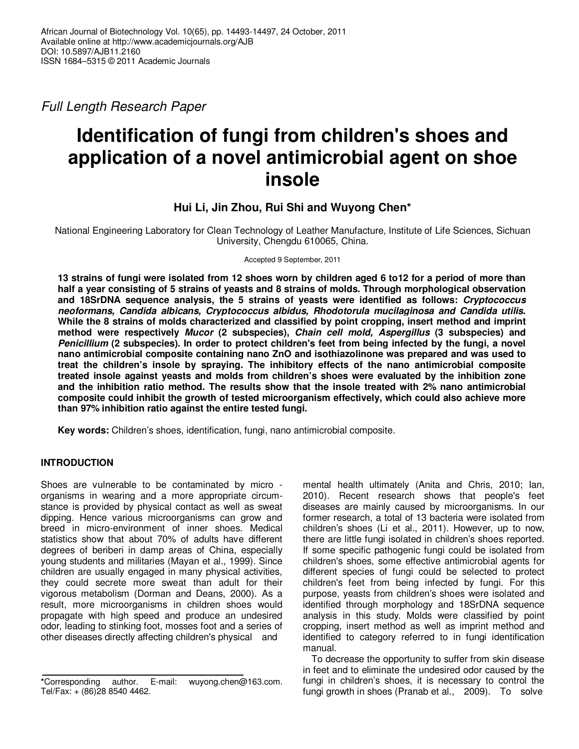Full Length Research Paper

# **Identification of fungi from children's shoes and application of a novel antimicrobial agent on shoe insole**

# **Hui Li, Jin Zhou, Rui Shi and Wuyong Chen\***

National Engineering Laboratory for Clean Technology of Leather Manufacture, Institute of Life Sciences, Sichuan University, Chengdu 610065, China.

Accepted 9 September, 2011

**13 strains of fungi were isolated from 12 shoes worn by children aged 6 to12 for a period of more than half a year consisting of 5 strains of yeasts and 8 strains of molds. Through morphological observation and 18SrDNA sequence analysis, the 5 strains of yeasts were identified as follows: Cryptococcus neoformans, Candida albicans, Cryptococcus albidus, Rhodotorula mucilaginosa and Candida utilis. While the 8 strains of molds characterized and classified by point cropping, insert method and imprint method were respectively Mucor (2 subspecies), Chain cell mold, Aspergillus (3 subspecies) and Penicillium (2 subspecies). In order to protect children's feet from being infected by the fungi, a novel nano antimicrobial composite containing nano ZnO and isothiazolinone was prepared and was used to treat the children's insole by spraying. The inhibitory effects of the nano antimicrobial composite treated insole against yeasts and molds from children's shoes were evaluated by the inhibition zone and the inhibition ratio method. The results show that the insole treated with 2% nano antimicrobial composite could inhibit the growth of tested microorganism effectively, which could also achieve more than 97% inhibition ratio against the entire tested fungi.** 

**Key words:** Children's shoes, identification, fungi, nano antimicrobial composite.

# **INTRODUCTION**

Shoes are vulnerable to be contaminated by micro organisms in wearing and a more appropriate circumstance is provided by physical contact as well as sweat dipping. Hence various microorganisms can grow and breed in micro-environment of inner shoes. Medical statistics show that about 70% of adults have different degrees of beriberi in damp areas of China, especially young students and militaries (Mayan et al., 1999). Since children are usually engaged in many physical activities, they could secrete more sweat than adult for their vigorous metabolism (Dorman and Deans, 2000). As a result, more microorganisms in children shoes would propagate with high speed and produce an undesired odor, leading to stinking foot, mosses foot and a series of other diseases directly affecting children's physical and

mental health ultimately (Anita and Chris, 2010; Ian, 2010). Recent research shows that people's feet diseases are mainly caused by microorganisms. In our former research, a total of 13 bacteria were isolated from children's shoes (Li et al., 2011). However, up to now, there are little fungi isolated in children's shoes reported. If some specific pathogenic fungi could be isolated from children's shoes, some effective antimicrobial agents for different species of fungi could be selected to protect children's feet from being infected by fungi. For this purpose, yeasts from children's shoes were isolated and identified through morphology and 18SrDNA sequence analysis in this study. Molds were classified by point cropping, insert method as well as imprint method and identified to category referred to in fungi identification manual.

To decrease the opportunity to suffer from skin disease in feet and to eliminate the undesired odor caused by the fungi in children's shoes, it is necessary to control the fungi growth in shoes (Pranab et al., 2009). To solve

**<sup>\*</sup>**Corresponding author. E-mail: wuyong.chen@163.com. Tel/Fax: + (86)28 8540 4462.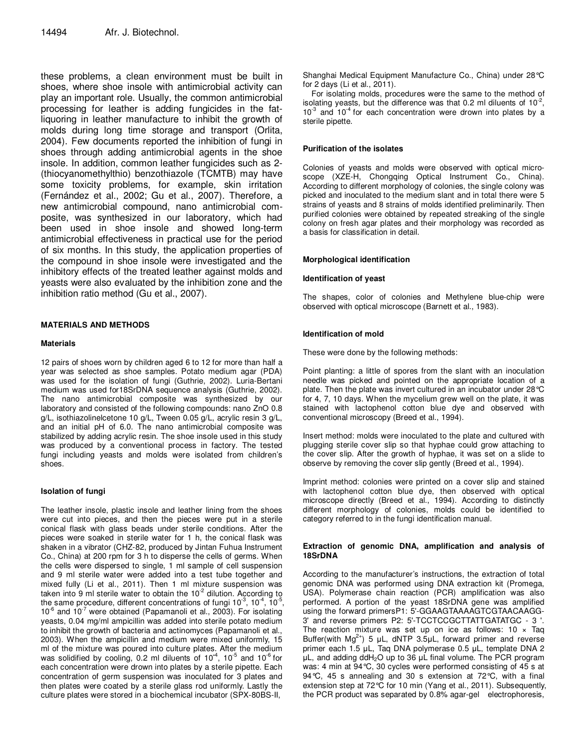these problems, a clean environment must be built in shoes, where shoe insole with antimicrobial activity can play an important role. Usually, the common antimicrobial processing for leather is adding fungicides in the fatliquoring in leather manufacture to inhibit the growth of molds during long time storage and transport (Orlita, 2004). Few documents reported the inhibition of fungi in shoes through adding antimicrobial agents in the shoe insole. In addition, common leather fungicides such as 2- (thiocyanomethylthio) benzothiazole (TCMTB) may have some toxicity problems, for example, skin irritation (Fernández et al., 2002; Gu et al., 2007). Therefore, a new antimicrobial compound, nano antimicrobial composite, was synthesized in our laboratory, which had been used in shoe insole and showed long-term antimicrobial effectiveness in practical use for the period of six months. In this study, the application properties of the compound in shoe insole were investigated and the inhibitory effects of the treated leather against molds and yeasts were also evaluated by the inhibition zone and the inhibition ratio method (Gu et al., 2007).

# **MATERIALS AND METHODS**

## **Materials**

12 pairs of shoes worn by children aged 6 to 12 for more than half a year was selected as shoe samples. Potato medium agar (PDA) was used for the isolation of fungi (Guthrie, 2002). Luria-Bertani medium was used for18SrDNA sequence analysis (Guthrie, 2002). The nano antimicrobial composite was synthesized by our laboratory and consisted of the following compounds: nano ZnO 0.8 g/L, isothiazolinelcetone 10 g/L, Tween 0.05 g/L, acrylic resin 3 g/L, and an initial pH of 6.0. The nano antimicrobial composite was stabilized by adding acrylic resin. The shoe insole used in this study was produced by a conventional process in factory. The tested fungi including yeasts and molds were isolated from children's shoes.

# **Isolation of fungi**

The leather insole, plastic insole and leather lining from the shoes were cut into pieces, and then the pieces were put in a sterile conical flask with glass beads under sterile conditions. After the pieces were soaked in sterile water for 1 h, the conical flask was shaken in a vibrator (CHZ-82, produced by Jintan Fuhua Instrument Co., China) at 200 rpm for 3 h to disperse the cells of germs. When the cells were dispersed to single, 1 ml sample of cell suspension and 9 ml sterile water were added into a test tube together and mixed fully (Li et al., 2011). Then 1 ml mixture suspension was taken into 9 ml sterile water to obtain the  $10^{-2}$  dilution. According to the same procedure, different concentrations of fungi 10 $^3$ , 10 $^4$ , 10 $^5$ ,  $10^{-6}$  and  $10^{-7}$  were obtained (Papamanoli et al., 2003). For isolating yeasts, 0.04 mg/ml ampicillin was added into sterile potato medium to inhibit the growth of bacteria and actinomyces (Papamanoli et al., 2003). When the ampicillin and medium were mixed uniformly, 15 ml of the mixture was poured into culture plates. After the medium<br>was solidified by cooling, 0.2 ml diluents of 10<sup>-4</sup>, 10<sup>-5</sup> and 10<sup>-6</sup> for each concentration were drown into plates by a sterile pipette. Each concentration of germ suspension was inoculated for 3 plates and then plates were coated by a sterile glass rod uniformly. Lastly the culture plates were stored in a biochemical incubator (SPX-80BS-II,

Shanghai Medical Equipment Manufacture Co., China) under 28°C for 2 days (Li et al., 2011).

For isolating molds, procedures were the same to the method of isolating yeasts, but the difference was that 0.2 ml diluents of  $10^2$ ,  $10^{-3}$  and  $10^{-4}$  for each concentration were drown into plates by a sterile pipette.

## **Purification of the isolates**

Colonies of yeasts and molds were observed with optical microscope (XZE-H, Chongqing Optical Instrument Co., China). According to different morphology of colonies, the single colony was picked and inoculated to the medium slant and in total there were 5 strains of yeasts and 8 strains of molds identified preliminarily. Then purified colonies were obtained by repeated streaking of the single colony on fresh agar plates and their morphology was recorded as a basis for classification in detail.

## **Morphological identification**

## **Identification of yeast**

The shapes, color of colonies and Methylene blue-chip were observed with optical microscope (Barnett et al., 1983).

# **Identification of mold**

These were done by the following methods:

Point planting: a little of spores from the slant with an inoculation needle was picked and pointed on the appropriate location of a plate. Then the plate was invert cultured in an incubator under 28°C for 4, 7, 10 days. When the mycelium grew well on the plate, it was stained with lactophenol cotton blue dye and observed with conventional microscopy (Breed et al., 1994).

Insert method: molds were inoculated to the plate and cultured with plugging sterile cover slip so that hyphae could grow attaching to the cover slip. After the growth of hyphae, it was set on a slide to observe by removing the cover slip gently (Breed et al., 1994).

Imprint method: colonies were printed on a cover slip and stained with lactophenol cotton blue dye, then observed with optical microscope directly (Breed et al., 1994). According to distinctly different morphology of colonies, molds could be identified to category referred to in the fungi identification manual.

## **Extraction of genomic DNA, amplification and analysis of 18SrDNA**

According to the manufacturer's instructions, the extraction of total genomic DNA was performed using DNA extraction kit (Promega, USA). Polymerase chain reaction (PCR) amplification was also performed. A portion of the yeast 18SrDNA gene was amplified using the forward primersP1: 5'-GGAAGTAAAAGTCGTAACAAGG-3' and reverse primers P2: 5'-TCCTCCGCTTATTGATATGC - 3 '. The reaction mixture was set up on ice as follows:  $10 \times$  Taq Buffer(with  $Mg^{2+}$ ) 5 µL, dNTP 3.5µL, forward primer and reverse primer each 1.5 µL, Taq DNA polymerase 0.5 µL, template DNA 2 µL, and adding ddH2O up to 36 µL final volume. The PCR program was: 4 min at 94°C, 30 cycles were performed consisting of 45 s at 94°C, 45 s annealing and 30 s extension at 72°C, with a final extension step at 72°C for 10 min (Yang et al., 2011). Subsequently, the PCR product was separated by 0.8% agar-gel electrophoresis,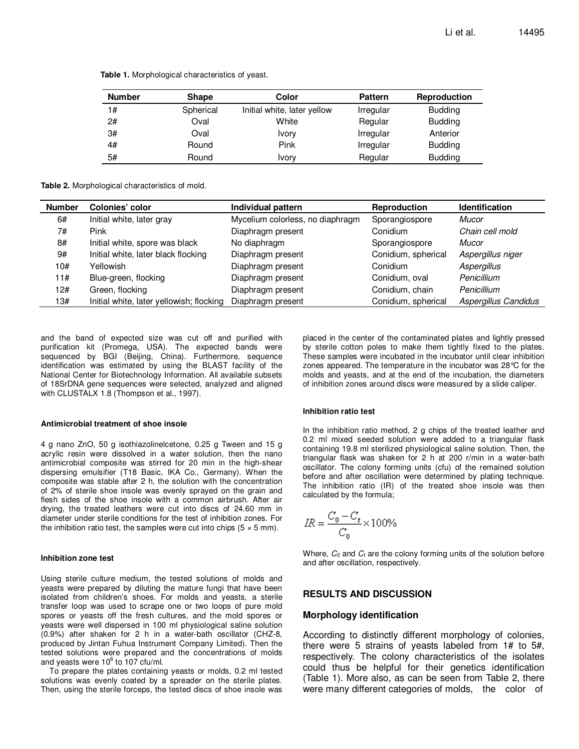| <b>Number</b> | <b>Shape</b> | Color                       | <b>Pattern</b> | <b>Reproduction</b> |  |
|---------------|--------------|-----------------------------|----------------|---------------------|--|
| 1#            | Spherical    | Initial white, later yellow | Irregular      | <b>Budding</b>      |  |
| 2#            | Oval         | White                       | Regular        | <b>Budding</b>      |  |
| 3#            | Oval         | Ivory                       | Irregular      | Anterior            |  |
| 4#            | Round        | Pink                        | Irregular      | <b>Budding</b>      |  |
| 5#            | Round        | Ivory                       | Regular        | <b>Budding</b>      |  |

**Table 1.** Morphological characteristics of yeast.

**Table 2.** Morphological characteristics of mold.

| <b>Number</b> | <b>Colonies' color</b>                   | Individual pattern               | <b>Reproduction</b> | <b>Identification</b> |
|---------------|------------------------------------------|----------------------------------|---------------------|-----------------------|
| 6#            | Initial white, later gray                | Mycelium colorless, no diaphragm | Sporangiospore      | Mucor                 |
| 7#            | Pink                                     | Diaphragm present                | Conidium            | Chain cell mold       |
| 8#            | Initial white, spore was black           | No diaphragm                     | Sporangiospore      | Mucor                 |
| 9#            | Initial white, later black flocking      | Diaphragm present                | Conidium, spherical | Aspergillus niger     |
| 10#           | Yellowish                                | Diaphragm present                | Conidium            | <b>Aspergillus</b>    |
| 11#           | Blue-green, flocking                     | Diaphragm present                | Conidium, oval      | Penicillium           |
| 12#           | Green, flocking                          | Diaphragm present                | Conidium, chain     | Penicillium           |
| 13#           | Initial white, later yellowish; flocking | Diaphragm present                | Conidium, spherical | Aspergillus Candidus  |

and the band of expected size was cut off and purified with purification kit (Promega, USA). The expected bands were sequenced by BGI (Beijing, China). Furthermore, sequence identification was estimated by using the BLAST facility of the National Center for Biotechnology Information. All available subsets of 18SrDNA gene sequences were selected, analyzed and aligned with CLUSTALX 1.8 (Thompson et al., 1997).

#### **Antimicrobial treatment of shoe insole**

4 g nano ZnO, 50 g isothiazolinelcetone, 0.25 g Tween and 15 g acrylic resin were dissolved in a water solution, then the nano antimicrobial composite was stirred for 20 min in the high-shear dispersing emulsifier (T18 Basic, IKA Co., Germany). When the composite was stable after 2 h, the solution with the concentration of 2% of sterile shoe insole was evenly sprayed on the grain and flesh sides of the shoe insole with a common airbrush. After air drying, the treated leathers were cut into discs of 24.60 mm in diameter under sterile conditions for the test of inhibition zones. For the inhibition ratio test, the samples were cut into chips  $(5 \times 5 \text{ mm})$ .

#### **Inhibition zone test**

Using sterile culture medium, the tested solutions of molds and yeasts were prepared by diluting the mature fungi that have been isolated from children's shoes. For molds and yeasts, a sterile transfer loop was used to scrape one or two loops of pure mold spores or yeasts off the fresh cultures, and the mold spores or yeasts were well dispersed in 100 ml physiological saline solution (0.9%) after shaken for 2 h in a water-bath oscillator (CHZ-8, produced by Jintan Fuhua Instrument Company Limited). Then the tested solutions were prepared and the concentrations of molds and yeasts were 10 $^6$  to 107 cfu/ml.

To prepare the plates containing yeasts or molds, 0.2 ml tested solutions was evenly coated by a spreader on the sterile plates. Then, using the sterile forceps, the tested discs of shoe insole was

placed in the center of the contaminated plates and lightly pressed by sterile cotton poles to make them tightly fixed to the plates. These samples were incubated in the incubator until clear inhibition zones appeared. The temperature in the incubator was 28°C for the molds and yeasts, and at the end of the incubation, the diameters of inhibition zones around discs were measured by a slide caliper.

#### **Inhibition ratio test**

In the inhibition ratio method, 2 g chips of the treated leather and 0.2 ml mixed seeded solution were added to a triangular flask containing 19.8 ml sterilized physiological saline solution. Then, the triangular flask was shaken for 2 h at 200 r/min in a water-bath oscillator. The colony forming units (cfu) of the remained solution before and after oscillation were determined by plating technique. The inhibition ratio (IR) of the treated shoe insole was then calculated by the formula;

$$
IR = \frac{C_0 - C_t}{C_0} \times 100\%
$$

Where,  $C_0$  and  $C_t$  are the colony forming units of the solution before and after oscillation, respectively.

# **RESULTS AND DISCUSSION**

## **Morphology identification**

According to distinctly different morphology of colonies, there were 5 strains of yeasts labeled from 1# to 5#, respectively. The colony characteristics of the isolates could thus be helpful for their genetics identification (Table 1). More also, as can be seen from Table 2, there were many different categories of molds, the color of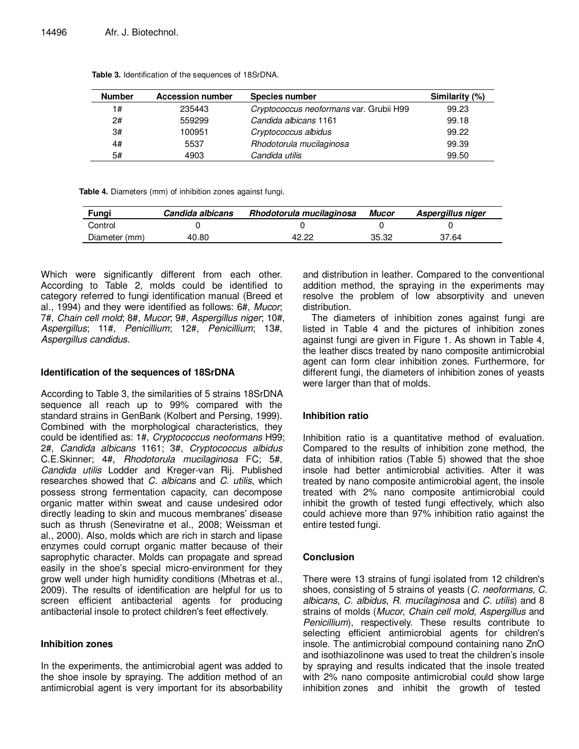| <b>Number</b> | <b>Accession number</b> | <b>Species number</b>                   | Similarity (%) |
|---------------|-------------------------|-----------------------------------------|----------------|
| 1#            | 235443                  | Cryptococcus neoformans var. Grubii H99 | 99.23          |
| 2#            | 559299                  | Candida albicans 1161                   | 99.18          |
| 3#            | 100951                  | Cryptococcus albidus                    | 99.22          |
| 4#            | 5537                    | Rhodotorula mucilaginosa                | 99.39          |
| 5#            | 4903                    | Candida utilis                          | 99.50          |

**Table 3.** Identification of the sequences of 18SrDNA.

**Table 4.** Diameters (mm) of inhibition zones against fungi.

| Fungi         | Candida albicans | Rhodotorula mucilaginosa | Mucor | Aspergillus niger |
|---------------|------------------|--------------------------|-------|-------------------|
| Control       |                  |                          |       |                   |
| Diameter (mm) | 40.80            | 42 22                    | 35.32 | 37.64             |

Which were significantly different from each other. According to Table 2, molds could be identified to category referred to fungi identification manual (Breed et al., 1994) and they were identified as follows: 6#, Mucor; 7#, Chain cell mold; 8#, Mucor; 9#, Aspergillus niger; 10#, Aspergillus; 11#, Penicillium; 12#, Penicillium; 13#, Aspergillus candidus.

# **Identification of the sequences of 18SrDNA**

According to Table 3, the similarities of 5 strains 18SrDNA sequence all reach up to 99% compared with the standard strains in GenBank (Kolbert and Persing, 1999). Combined with the morphological characteristics, they could be identified as: 1#, Cryptococcus neoformans H99; 2#, Candida albicans 1161; 3#, Cryptococcus albidus C.E.Skinner; 4#, Rhodotorula mucilaginosa FC; 5#, Candida utilis Lodder and Kreger-van Rij. Published researches showed that C. albicans and C. utilis, which possess strong fermentation capacity, can decompose organic matter within sweat and cause undesired odor directly leading to skin and mucous membranes' disease such as thrush (Seneviratne et al., 2008; Weissman et al., 2000). Also, molds which are rich in starch and lipase enzymes could corrupt organic matter because of their saprophytic character. Molds can propagate and spread easily in the shoe's special micro-environment for they grow well under high humidity conditions (Mhetras et al., 2009). The results of identification are helpful for us to screen efficient antibacterial agents for producing antibacterial insole to protect children's feet effectively.

# **Inhibition zones**

In the experiments, the antimicrobial agent was added to the shoe insole by spraying. The addition method of an antimicrobial agent is very important for its absorbability and distribution in leather. Compared to the conventional addition method, the spraying in the experiments may resolve the problem of low absorptivity and uneven distribution.

The diameters of inhibition zones against fungi are listed in Table 4 and the pictures of inhibition zones against fungi are given in Figure 1. As shown in Table 4, the leather discs treated by nano composite antimicrobial agent can form clear inhibition zones. Furthermore, for different fungi, the diameters of inhibition zones of yeasts were larger than that of molds.

# **Inhibition ratio**

Inhibition ratio is a quantitative method of evaluation. Compared to the results of inhibition zone method, the data of inhibition ratios (Table 5) showed that the shoe insole had better antimicrobial activities. After it was treated by nano composite antimicrobial agent, the insole treated with 2% nano composite antimicrobial could inhibit the growth of tested fungi effectively, which also could achieve more than 97% inhibition ratio against the entire tested fungi.

# **Conclusion**

There were 13 strains of fungi isolated from 12 children's shoes, consisting of 5 strains of yeasts (C. neoformans, C. albicans, C. albidus, R. mucilaginosa and C. utilis) and 8 strains of molds (Mucor, Chain cell mold, Aspergillus and Penicillium), respectively. These results contribute to selecting efficient antimicrobial agents for children's insole. The antimicrobial compound containing nano ZnO and isothiazolinone was used to treat the children's insole by spraying and results indicated that the insole treated with 2% nano composite antimicrobial could show large inhibition zones and inhibit the growth of tested